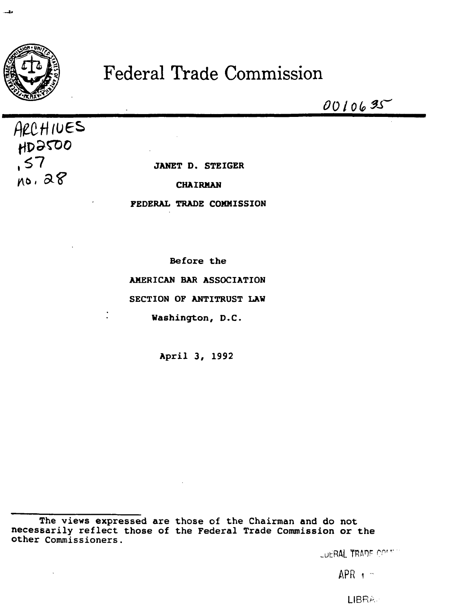

x.

## **Federal Trade Commission**

0010635

ARCHIVES HD2500  $57$  $no.28$ 

JANET D. STEIGER

**CHAIRMAN** 

**FEDERAL TRADE COMMISSION** 

Before the AMERICAN BAR ASSOCIATION SECTION OF ANTITRUST LAW Washington, D.C.

April 3, 1992

The views expressed are those of the Chairman and do not necessarily reflect those of the Federal Trade Commission or the other Commissioners.

LUERAL TRADE COMMIN

 $APR + -$ 

LIBRA.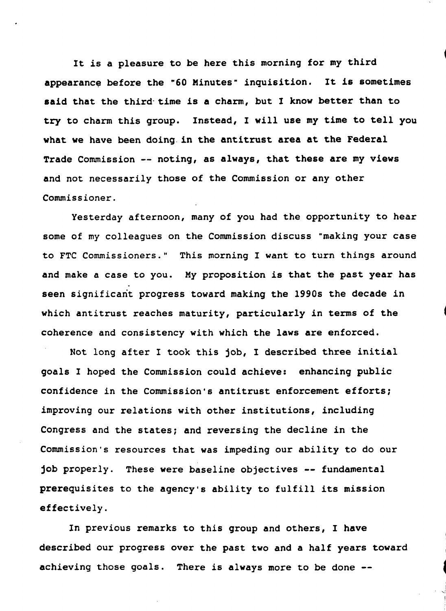It is a pleasure to be here this morning for my third appearance before the "60 Minutes" inquisition. It is sometimes said that the third time is a charm, but I know better than to try to charm this group. Instead, I will use my time to tell you what we have been doing. in the antitrust area at the Federal Trade Commission -- noting, as always, that these are my views and not necessarily those of the Commission or any other Commissioner.

Yesterday afternoon, many of you had the opportunity to hear some of my colleagues on the Commission discuss "making your case to FTC Commissioners." This morning I want to turn things around and make a case to you. My proposition is that the past year has seen significant progress toward making the 1990s the decade in which antitrust reaches maturity, particularly in terms of the coherence and consistency with which the laws are enforced.

Not long after I took this job, I described three initial goals I hoped the Commission could achieve: enhancing public confidence in the Commission's antitrust enforcement efforts; improving our relations with other institutions, including Congress and the states; and reversing the decline in the Commission's resources that was impeding our ability to do our job properly. These were baseline objectives -- fundamental prerequisites to the agency's ability to fulfill its mission effectively.

In previous remarks to this group and others, I have described our progress over the past two and a half years toward achieving those goals. There is always more to be done --

> ~ I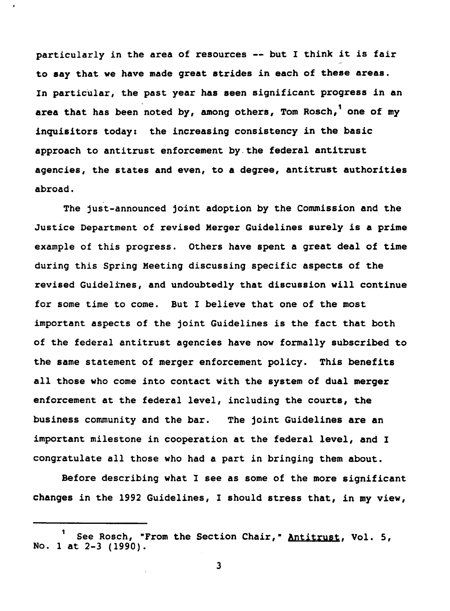particularly in the area of resources -- but I think it is fair to say that we have made great strides in each of these areas. In particular, the past year has seen significant progress in an area that has been noted by, among others, Tom Rosch, one of my inquisitors today: the increasing consistency in the basic approach to antitrust enforcement by.the federal antitrust agencies, the states and even, to a degree, antitrust authorities abroad.

The just-announced joint adoption by the Commission and the Justice Department of revised Merger Guidelines surely is a prime example of this progress. Others have spent a great deal of time during this Spring Meeting discussing specific aspects of the revised Guidelines, and undoubtedly that discussion will continue for some time to come. But I believe that one of the most important aspects of the joint Guidelines is the fact that both of the federal antitrust agencies have now formally subscribed to the same statement of merger enforcement policy. This benefits all those who come into contact with the system of dual merger enforcement at the federal level, including the courts, the business community and the bar. The joint Guidelines are an important milestone in cooperation at the federal level, and I congratulate all those who had a part in bringing them about.

Before describing what I see as some of the more significant changes in the 1992 Guidelines, I should stress that, in my view,

See Rosch, "From the Section Chair," Antitrust, Vol. 5, No. 1 at 2-3 (1990).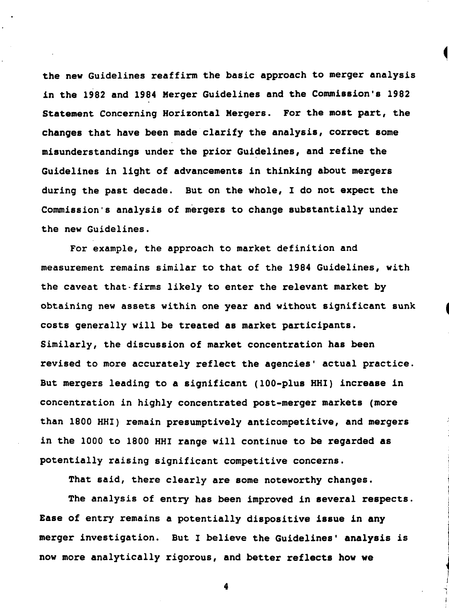the new Guidelines reaffirm the basic approach to merger analysis in the 1982 and 1984 Merger Guidelines and the Commission's 1982 Statement Concerning Horizontal Mergers. For the most part, the changes that have been made clarify the analysis, correct some misunderstandings under the prior Guidelines, and refine the Guidelines in light of advancements in thinking about mergers during the past decade. But on the whole, I do not expect the Commission's analysis of mergers to change substantially under the new Guidelines.

For example, the approach to market definition and measurement remains similar to that of the 1984 Guidelines, with the caveat that-firms likely to enter the relevant market by obtaining new assets within one year and without significant sunk costs generally will be treated as market participants. Similarly, the discussion of market concentration has been revised to more accurately reflect the agencies' actual practice. But mergers leading to a significant (100-plus HHI) increase in concentration in highly concentrated post-merger markets (more than 1800 HHI) remain presumptively anticompetitive, and mergers in the 1000 to 1800 HHI range will continue to be regarded as potentially raising significant competitive concerns.

That said, there clearly are some noteworthy changes.

The analysis of entry has been improved in several respects. Ease of entry remains a potentially dispositive issue in any merger investigation. But I believe the Guidelines' analysis is now more analytically rigorous, and better reflects how we

j<br>j l I j

la composita de la construcción de la construcción de la construcción de la construcción de la construcción de

~ j ~ I I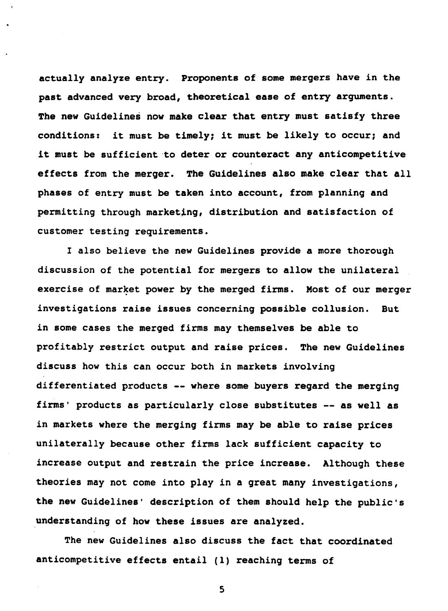actually analyze entry. Proponents of some mergers have in the past advanced very broad, theoretical ease of entry arguments. The new Guidelines now make clear that entry must satisfy three conditions: it must be timely; it must be likely to occur; and it must be sufficient to deter or counteract any anticompetitive effects from the merger. The Guidelines also make clear that all phases of entry must be taken into account, from planning and permitting through marketing, distribution and satisfaction of customer testing requirements.

I also believe the new Guidelines provide a more thorough discussion of the potential for mergers to allow the unilateral exercise of market power by the merged firms. Most of our merger investigations raise issues concerning possible collusion. **But** in some cases the merged firms may themselves be able to profitably restrict output and raise prices. The new Guidelines discuss how this can occur both in markets involving differentiated products -- where some buyers regard the merging firms' products as particularly close substitutes -- as well as in markets where the merging firms may be able to raise prices unilaterally because other firms lack sufficient capacity to increase output and restrain the price increase. Although these theories may not come into play in a great many investigations, the new Guidelines' description of them should help the public's understanding of how these issues are analyzed.

The new Guidelines also discuss the fact that coordinated anticompetitive effects entail (1) reaching terms of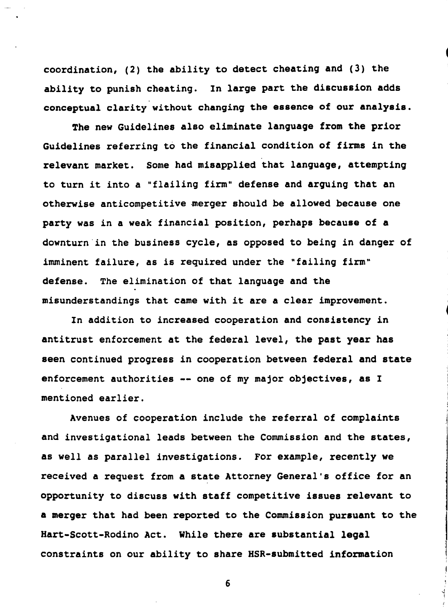coordination, (2) the ability to detect cheating and (3) the ability to punish cheating. In large part the discussion adds conceptual clarity without changing the essence of our analysis.

The new Guidelines also eliminate language from the prior Guidelines referring to the financial condition of firms in the relevant market. Some had misapplied that language, attempting to turn it into a "flailing firm" defense and arguing that an otherwise anticompetitive merger should be allowed because one party was in a weak financial position, perhaps because of a downturn in the business cycle, as opposed to being in danger of imminent failure, as is required under the "failing firm" The elimination of that language and the defense. misunderstandings that came with it are a clear improvement.

In addition to increased cooperation and consistency in antitrust enforcement at the federal level, the past year has seen continued progress in cooperation between federal and state enforcement authorities -- one of my major objectives, as I mentioned earlier.

Avenues of cooperation include the referral of complaints and investigational leads between the Commission and the states, as well as parallel investigations. For example, recently we received a request from a state Attorney General's office for an opportunity to discuss with staff competitive issues relevant to a merger that had been reported to the Commission pursuant to the Hart-Scott-Rodino Act. While there are substantial legal constraints on our ability to share HSR-submitted information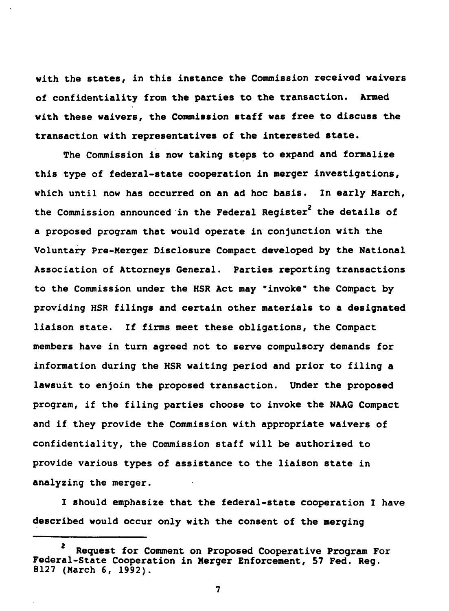with the states, in this instance the Commission received waivers of confidentiality from the parties to the transaction. Armed with these waivers, the Commission staff was free to discuss the transaction with representatives of the interested state.

The Commission is now taking steps to expand and formalize this type of federal-state cooperation in merger investigations, which until now has occurred on an ad hoc basis. In early March. the Commission announced in the Federal Register<sup>2</sup> the details of a proposed program that would operate in conjunction with the Voluntary Pre-Merger Disclosure Compact developed by the National Association of Attorneys General. Parties reporting transactions to the Commission under the HSR Act may "invoke" the Compact by providing HSR filings and certain other materials to a designated If firms meet these obligations, the Compact liaison state. members have in turn agreed not to serve compulsory demands for information during the HSR waiting period and prior to filing a lawsuit to enjoin the proposed transaction. Under the proposed program, if the filing parties choose to invoke the NAAG Compact and if they provide the Commission with appropriate waivers of confidentiality, the Commission staff will be authorized to provide various types of assistance to the liaison state in analyzing the merger.

I should emphasize that the federal-state cooperation I have described would occur only with the consent of the merging

 $\mathbf{z}$ Request for Comment on Proposed Cooperative Program For Federal-State Cooperation in Merger Enforcement, 57 Fed. Reg. 8127 (March 6, 1992).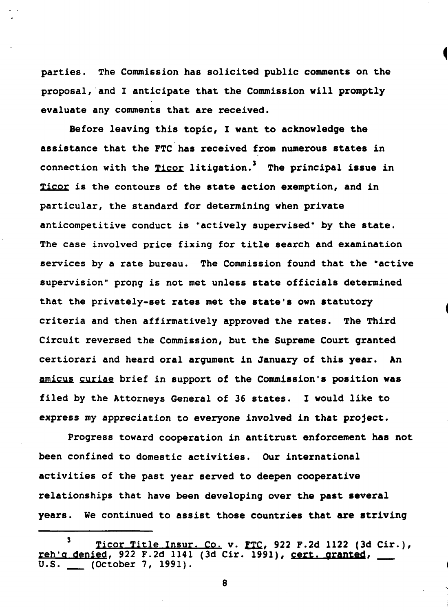parties. The Commission has solicited public comments on the proposal, and I anticipate that the Commission will promptly evaluate any comments that are received.

Before leaving this topic, I want to acknowledge the assistance that the FTC has received from numerous states in connection with the Ticor litigation.<sup>3</sup> The principal issue in Ticor is the contours of the state action exemption, and in particular, the standard for determining when private anticompetitive conduct is "actively supervised" by the state. The case involved price fixing for title search and examination services by a rate bureau. The Commission found that the "active supervision" prong is not met unless state officials determined that the privately-set rates met the state's own statutory criteria and then affirmatively approved the rates. The Third Circuit reversed the Commission, but the Supreme Court granted certiorari and heard oral argument in January of this year. An amicus curiae brief in support of the Commission's position was filed by the Attorneys General of 36 states. I would like to express my appreciation to everyone involved in that project.

Progress toward cooperation in antitrust enforcement has not been confined to domestic activities. Our international activities of the past year served to deepen cooperative relationships that have been developing over the past several years. We continued to assist those countries that are striving

 $\mathbf{3}$ Ticor Title Insur. Co. v. FTC, 922 F.2d 1122 (3d Cir.), reh'g denied, 922 F.2d 1141 (3d Cir. 1991), cert. granted,  $(October 7, 1991).$ U.S.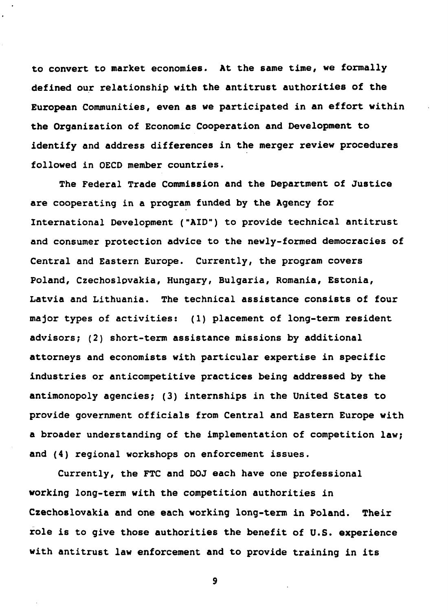to convert to market economies. At the same time, we formally defined our relationship with the antitrust authorities of the European Communities, even as we participated in an effort within the Organization of Economic Cooperation and Development to identify and address differences in the merger review procedures followed in OECD member countries.

The Federal Trade Commission and the Department of Justice are cooperating in a program funded by the Agency for International Development ("AID") to provide technical antitrust and consumer protection advice to the newly-formed democracies of Central and Eastern Europe. Currently, the program covers Poland, Czechoslovakia, Hungary, Bulgaria, Romania, Estonia, Latvia and Lithuania. The technical assistance consists of four major types of activities: (1) placement of long-term resident advisors; (2) short-term assistance missions by additional attorneys and economists with particular expertise in specific industries or anticompetitive practices being addressed by the antimonopoly agencies; (3) internships in the United States to provide government officials from Central and Eastern Europe with a broader understanding of the implementation of competition law; and (4) regional workshops on enforcement issues.

Currently, the FTC and DOJ each have one professional working long-term with the competition authorities in Czechoslovakia and one each working long-term in Poland. Their role is to give those authorities the benefit of U.S. experience with antitrust law enforcement and to provide training in its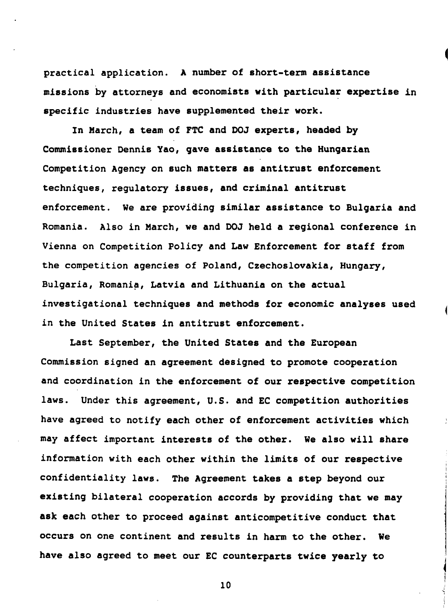practical application. A number of short-term assistance missions by attorneys and economists with particular expertise in specific industries have supplemented their work.

In March, a team of FTC and DOJ experts, headed by Commissioner Dennis Yao, gave assistance to the Hungarian Competition Agency on such matters as antitrust enforcement techniques, requlatory issues, and criminal antitrust enforcement. We are providing similar assistance to Bulgaria and Romania. Also in March, we and DOJ held a regional conference in Vienna on Competition Policy and Law Enforcement for staff from the competition agencies of Poland, Czechoslovakia, Hungary, Bulgaria, Romania, Latvia and Lithuania on the actual investigational techniques and methods for economic analyses used in the United States in antitrust enforcement.

Last September, the United States and the European Commission signed an agreement designed to promote cooperation and coordination in the enforcement of our respective competition laws. Under this agreement, U.S. and EC competition authorities have agreed to notify each other of enforcement activities which may affect important interests of the other. We also will share information with each other within the limits of our respective confidentiality laws. The Agreement takes a step beyond our existing bilateral cooperation accords by providing that we may ask each other to proceed against anticompetitive conduct that occurs on one continent and results in harm to the other. We have also agreed to meet our EC counterparts twice yearly to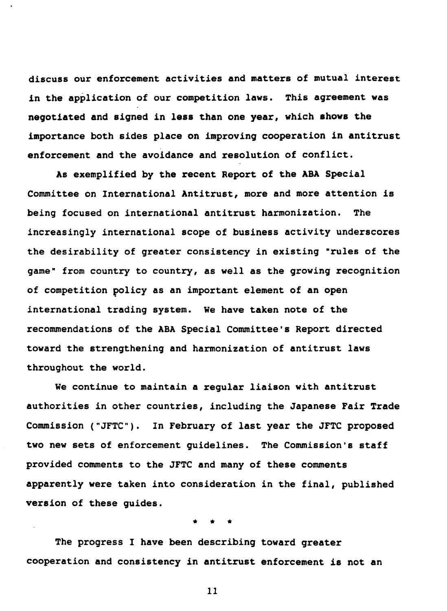discuss our enforcement activities and matters of mutual interest in the application of our competition laws. This agreement was negotiated and signed in less than one year, which shows the importance both sides place on improving cooperation in antitrust enforcement and the avoidance and resolution of conflict.

As exemplified by the recent Report of the ABA Special Committee on International Antitrust, more and more attention is being focused on international antitrust harmonization. The increasingly international scope of business activity underscores the desirability of greater consistency in existing "rules of the game" from country to country, as well as the growing recognition of competition policy as an important element of an open international trading system. We have taken note of the recommendations of the ABA Special Committee's Report directed toward the strengthening and harmonization of antitrust laws throughout the world.

We continue to maintain a regular liaison with antitrust authorities in other countries, including the Japanese Fair Trade Commission ("JFTC"). In February of last year the JFTC proposed two new sets of enforcement guidelines. The Commission's staff provided comments to the JFTC and many of these comments apparently were taken into consideration in the final, published version of these guides.

The progress I have been describing toward greater cooperation and consistency in antitrust enforcement is not an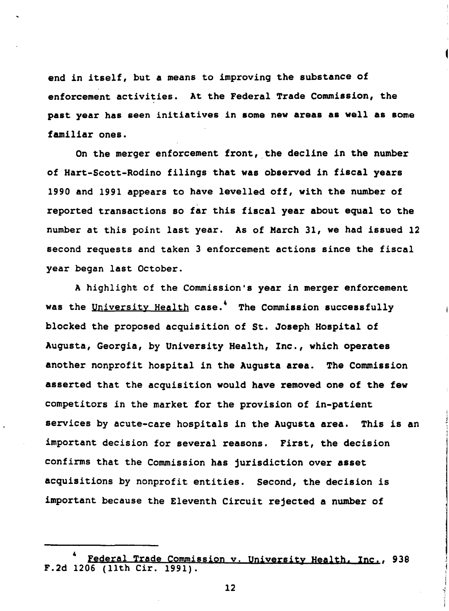end in itself, but a means to improving the substance of enforcement activities. At the Federal Trade Commission, the past vear has seen initiatives in some new areas as well as some familiar ones.

On the merger enforcement front, the decline in the number of Hart-Scott-Rodino filings that was observed in fiscal years 1990 and 1991 appears to have levelled off, with the number of reported transactions so far this fiscal year about equal to the number at this point last year. As of March 31, we had issued 12 second requests and taken 3 enforcement actions since the fiscal year began last October.

A highlight of the Commission's year in merger enforcement was the University Health case.<sup>4</sup> The Commission successfully blocked the proposed acquisition of St. Joseph Hospital of Augusta, Georgia, by University Health, Inc., which operates another nonprofit hospital in the Augusta area. The Commission asserted that the acquisition would have removed one of the few competitors in the market for the provision of in-patient services by acute-care hospitals in the Augusta area. This is an important decision for several reasons. First, the decision confirms that the Commission has jurisdiction over asset acquisitions by nonprofit entities. Second, the decision is important because the Eleventh Circuit rejected a number of

Federal Trade Commission v. University Health, Inc., 938 F.2d 1206 (11th Cir. 1991).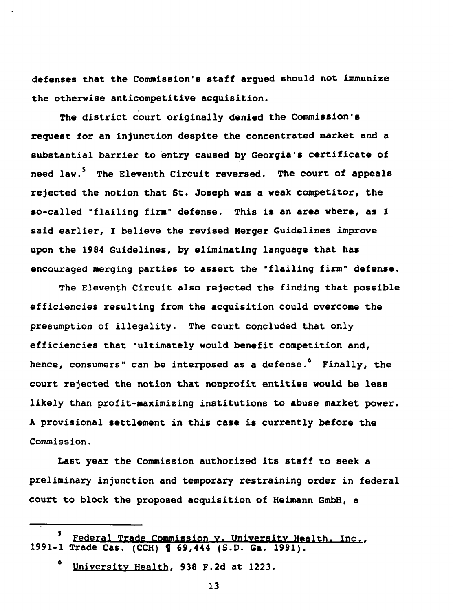defenses that the Commission's staff arqued should not immunize the otherwise anticompetitive acquisition.

The district court originally denied the Commission's request for an injunction despite the concentrated market and a substantial barrier to entry caused by Georgia's certificate of need law.<sup>5</sup> The Eleventh Circuit reversed. The court of appeals rejected the notion that St. Joseph was a weak competitor, the so-called "flailing firm" defense. This is an area where, as I said earlier, I believe the revised Merger Guidelines improve upon the 1984 Guidelines, by eliminating language that has encouraged merging parties to assert the "flailing firm" defense.

The Eleventh Circuit also rejected the finding that possible efficiencies resulting from the acquisition could overcome the presumption of illegality. The court concluded that only efficiencies that "ultimately would benefit competition and, hence, consumers" can be interposed as a defense.<sup>6</sup> Finally, the court rejected the notion that nonprofit entities would be less likely than profit-maximizing institutions to abuse market power. A provisional settlement in this case is currently before the Commission.

Last year the Commission authorized its staff to seek a preliminary injunction and temporary restraining order in federal court to block the proposed acquisition of Heimann GmbH, a

<sup>5</sup> Federal Trade Commission v. University Health, Inc., 1991-1 Trade Cas. (CCH) 1 69,444 (S.D. Ga. 1991).

University Health, 938 F.2d at 1223.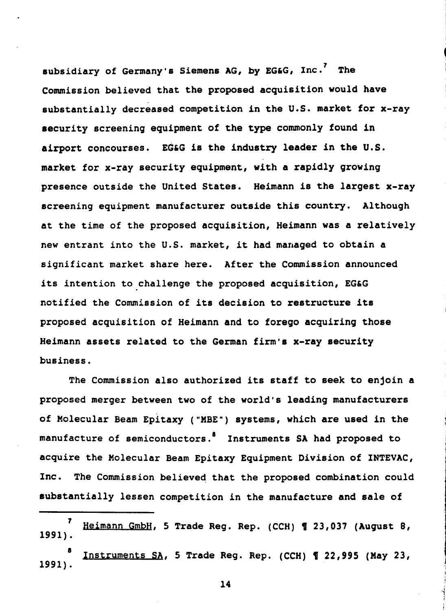subsidiary of Germany's Siemens AG, by EG&G, Inc.<sup>7</sup> The Commission believed that the proposed acquisition would have substantially decreased competition in the U.S. market for x-ray security screening equipment of the type commonly found in airport concourses. EG&G is the industry leader in the U.S. market for x-ray security equipment, with a rapidly growing presence outside the United States. Heimann is the largest x-ray screening equipment manufacturer outside this country. Although at the time of the proposed acquisition, Heimann was a relatively new entrant into the U.S. market, it had managed to obtain a significant market share here. After the Commission announced its intention to challenge the proposed acquisition, EG&G notified the Commission of its decision to restructure its proposed acquisition of Heimann and to forego acquiring those Heimann assets related to the German firm's x-ray security business.

The Commission also authorized its staff to seek to enjoin a proposed merger between two of the world's leading manufacturers of Molecular Beam Epitaxy ("MBE") systems, which are used in the manufacture of semiconductors.<sup>8</sup> Instruments SA had proposed to acquire the Molecular Beam Epitaxy Equipment Division of INTEVAC, Inc. The Commission believed that the proposed combination could substantially lessen competition in the manufacture and sale of

 $\overline{\mathbf{z}}$ Heimann GmbH, 5 Trade Reg. Rep. (CCH) 1 23,037 (August 8, 1991).

Instruments SA, 5 Trade Reg. Rep. (CCH) 1 22,995 (May 23, 1991).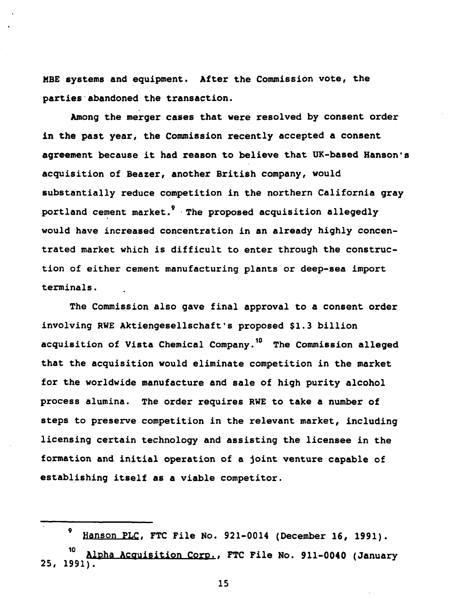MBE systems and equipment. After the Commission vote, the parties abandoned the transaction.

Among the merger cases that were resolved by consent order in the past year, the Commission recently accepted a consent agreement because it had reason to believe that UK-based Hanson's acquisition of Beazer, another British company, would substantially reduce competition in the northern California gray portland cement market.<sup>9</sup> The proposed acquisition allegedly would have increased concentration in an already highly concentrated market which is difficult to enter through the construction of either cement manufacturing plants or deep-sea import terminals.

The Commission also gave final approval to a consent order involving RWE Aktiengesellschaft's proposed \$1.3 billion acquisition of Vista Chemical Company.<sup>10</sup> The Commission alleged that the acquisition would eliminate competition in the market for the worldwide manufacture and sale of high purity alcohol process alumina. The order requires RWE to take a number of steps to preserve competition in the relevant market, including licensing certain technology and assisting the licensee in the formation and initial operation of a joint venture capable of establishing itself as a viable competitor.

<sup>9</sup> Hanson PLC, FTC File No. 921-0014 (December 16, 1991).

Alpha Acquisition Corp., FTC File No. 911-0040 (January  $25, 1991$ .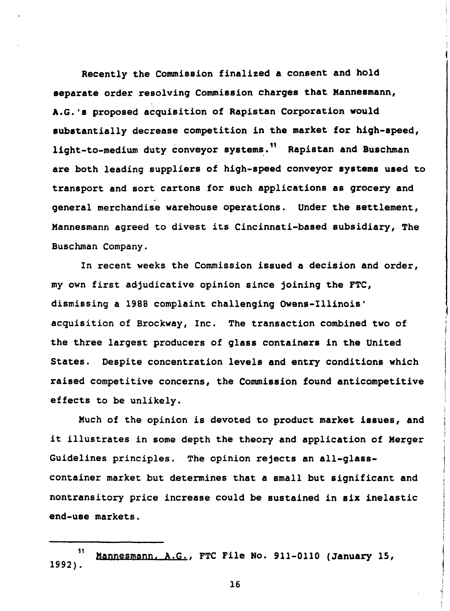Recently the Commission finalized a consent and hold separate order resolving Commission charges that Mannesmann, A.G.'s proposed acquisition of Rapistan Corporation would substantially decrease competition in the market for high-speed, light-to-medium duty conveyor systems.<sup>11</sup> Rapistan and Buschman are both leading suppliers of high-speed conveyor systems used to transport and sort cartons for such applications as grocery and general merchandise warehouse operations. Under the settlement, Mannesmann agreed to divest its Cincinnati-based subsidiary, The Buschman Company.

In recent weeks the Commission issued a decision and order, my own first adjudicative opinion since joining the FTC, dismissing a 1988 complaint challenging Owens-Illinois' acquisition of Brockway, Inc. The transaction combined two of the three largest producers of glass containers in the United States. Despite concentration levels and entry conditions which raised competitive concerns, the Commission found anticompetitive effects to be unlikely.

Much of the opinion is devoted to product market issues, and it illustrates in some depth the theory and application of Merger Guidelines principles. The opinion rejects an all-glasscontainer market but determines that a small but significant and nontransitory price increase could be sustained in six inelastic end-use markets.

<sup>11</sup> Mannesmann, A.G., FTC File No. 911-0110 (January 15,  $1992$ .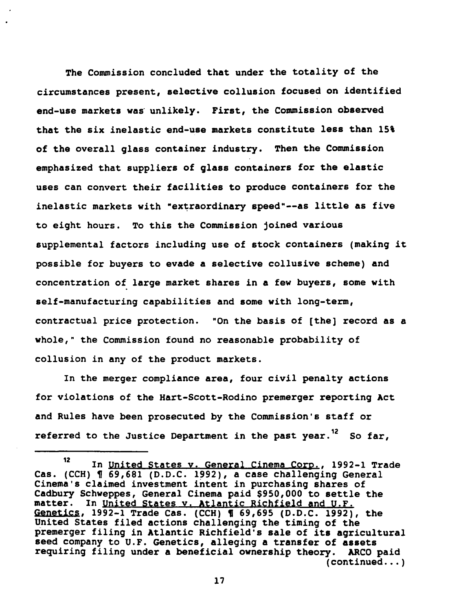The Commission concluded that under the totality of the circumstances present, selective collusion focused on identified end-use markets was unlikely. First, the Commission observed that the six inelastic end-use markets constitute less than 15% of the overall glass container industry. Then the Commission emphasized that suppliers of glass containers for the elastic uses can convert their facilities to produce containers for the inelastic markets with "extraordinary speed"--as little as five to eight hours. To this the Commission joined various supplemental factors including use of stock containers (making it possible for buyers to evade a selective collusive scheme) and concentration of large market shares in a few buyers, some with self-manufacturing capabilities and some with long-term, contractual price protection. "On the basis of [the] record as a whole," the Commission found no reasonable probability of collusion in any of the product markets.

In the merger compliance area, four civil penalty actions for violations of the Hart-Scott-Rodino premerger reporting Act and Rules have been prosecuted by the Commission's staff or referred to the Justice Department in the past year.<sup>12</sup> So far,

<sup>12</sup> In United States v. General Cinema Corp., 1992-1 Trade Cas. (CCH) ¶ 69,681 (D.D.C. 1992), a case challenging General Cinema's claimed investment intent in purchasing shares of Cadbury Schweppes, General Cinema paid \$950,000 to settle the matter. In United States v. Atlantic Richfield and U.F. Genetics, 1992-1 Trade Cas. (CCH) ¶ 69,695 (D.D.C. 1992), the United States filed actions challenging the timing of the premerger filing in Atlantic Richfield's sale of its agricultural seed company to U.F. Genetics, alleging a transfer of assets requiring filing under a beneficial ownership theory. ARCO paid  $(continued...)$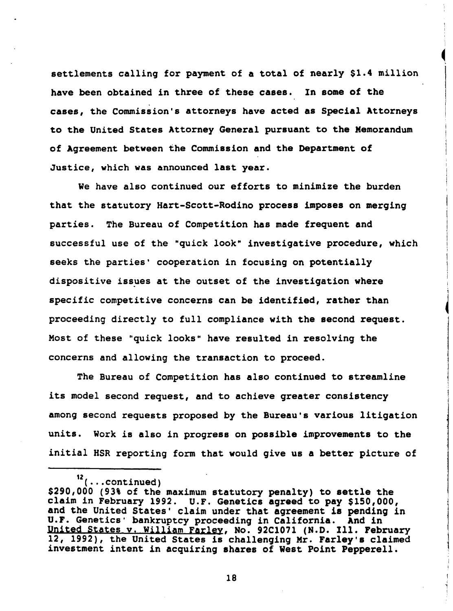settlements calling for payment of a total of nearly \$1.4 million have been obtained in three of these cases. In some of the cases, the Commission's attorneys have acted as Special Attorneys to the United States Attorney General pursuant to the Memorandum of Agreement between the Commission and the Department of Justice, which was announced last year.

We have also continued our efforts to minimize the burden that the statutory Hart-Scott-Rodino process imposes on merging parties. The Bureau of Competition has made frequent and successful use of the "quick look" investigative procedure, which seeks the parties' cooperation in focusing on potentially dispositive issues at the outset of the investigation where specific competitive concerns can be identified, rather than proceeding directly to full compliance with the second request. Most of these "quick looks" have resulted in resolving the concerns and allowing the transaction to proceed.

The Bureau of Competition has also continued to streamline its model second request, and to achieve greater consistency among second requests proposed by the Bureau's various litigation units. Work is also in progress on possible improvements to the initial HSR reporting form that would give us a better picture of

 $12$  (... continued)

<sup>\$290,000 (93%</sup> of the maximum statutory penalty) to settle the claim in February 1992. U.F. Genetics agreed to pay \$150,000, and the United States' claim under that agreement is pending in U.F. Genetics' bankruptcy proceeding in California. And in United States v. William Farley, No. 92C1071 (N.D. Ill. February 12, 1992), the United States is challenging Mr. Farley's claimed investment intent in acquiring shares of West Point Pepperell.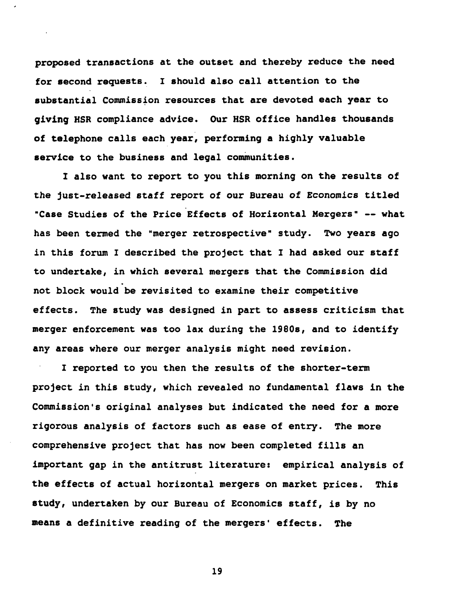proposed transactions at the outset and thereby reduce the need for second requests. I should also call attention to the substantial Commission resources that are devoted each year to giving HSR compliance advice. Our HSR office handles thousands of telephone calls each year, performing a highly valuable service to the business and legal communities.

I also want to report to you this morning on the results of the just-released staff report of our Bureau of Economics titled "Case Studies of the Price Effects of Horizontal Mergers" -- what has been termed the "merger retrospective" study. Two years ago in this forum I described the project that I had asked our staff to undertake, in which several mergers that the Commission did not block would be revisited to examine their competitive effects. The study was designed in part to assess criticism that merger enforcement was too lax during the 1980s, and to identify any areas where our merger analysis might need revision.

I reported to you then the results of the shorter-term project in this study, which revealed no fundamental flaws in the Commission's original analyses but indicated the need for a more rigorous analysis of factors such as ease of entry. The more comprehensive project that has now been completed fills an important gap in the antitrust literature: empirical analysis of the effects of actual horizontal mergers on market prices. This study, undertaken by our Bureau of Economics staff, is by no means a definitive reading of the mergers' effects. **The**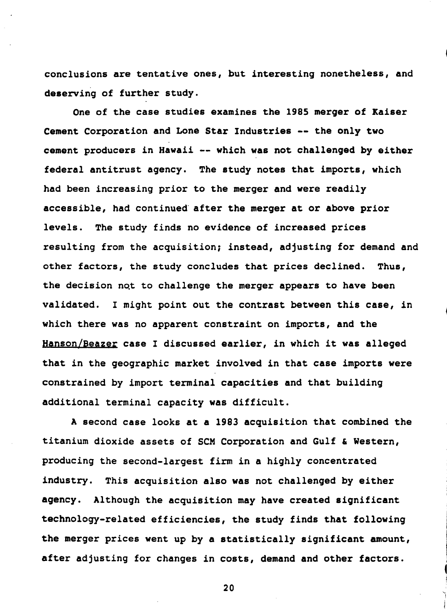conclusions are tentative ones, but interesting nonetheless, and deserving of further study.

One of the case studies examines the 1985 merger of Kaiser Cement Corporation and Lone Star Industries -- the only two cement producers in Hawaii -- which was not challenged by either federal antitrust agency. The study notes that imports, which had been increasing prior to the merger and were readily accessible, had continued after the merger at or above prior levels. The study finds no evidence of increased prices resulting from the acquisition; instead, adjusting for demand and other factors, the study concludes that prices declined. Thus. the decision not to challenge the merger appears to have been validated. I might point out the contrast between this case, in which there was no apparent constraint on imports, and the Hanson/Beazer case I discussed earlier, in which it was alleged that in the geographic market involved in that case imports were constrained by import terminal capacities and that building additional terminal capacity was difficult.

A second case looks at a 1983 acquisition that combined the titanium dioxide assets of SCM Corporation and Gulf & Western, producing the second-largest firm in a highly concentrated industry. This acquisition also was not challenged by either agency. Although the acquisition may have created significant technology-related efficiencies, the study finds that following the merger prices went up by a statistically significant amount, after adjusting for changes in costs, demand and other factors.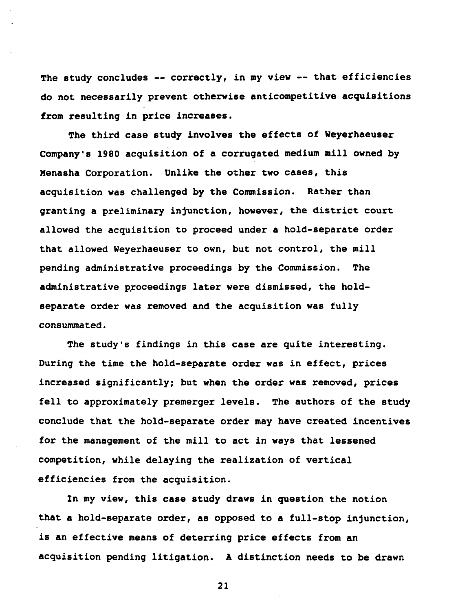The study concludes -- correctly, in my view -- that efficiencies do not necessarily prevent otherwise anticompetitive acquisitions from resulting in price increases.

The third case study involves the effects of Weyerhaeuser Company's 1980 acquisition of a corrugated medium mill owned by Menasha Corporation. Unlike the other two cases, this acquisition was challenged by the Commission. Rather than granting a preliminary injunction, however, the district court allowed the acquisition to proceed under a hold-separate order that allowed Weyerhaeuser to own, but not control, the mill pending administrative proceedings by the Commission. **The** administrative proceedings later were dismissed, the holdseparate order was removed and the acquisition was fully consummated.

The study's findings in this case are quite interesting. During the time the hold-separate order was in effect, prices increased significantly; but when the order was removed, prices fell to approximately premerger levels. The authors of the study conclude that the hold-separate order may have created incentives for the management of the mill to act in ways that lessened competition, while delaying the realization of vertical efficiencies from the acquisition.

In my view, this case study draws in question the notion that a hold-separate order, as opposed to a full-stop injunction, is an effective means of deterring price effects from an acquisition pending litigation. A distinction needs to be drawn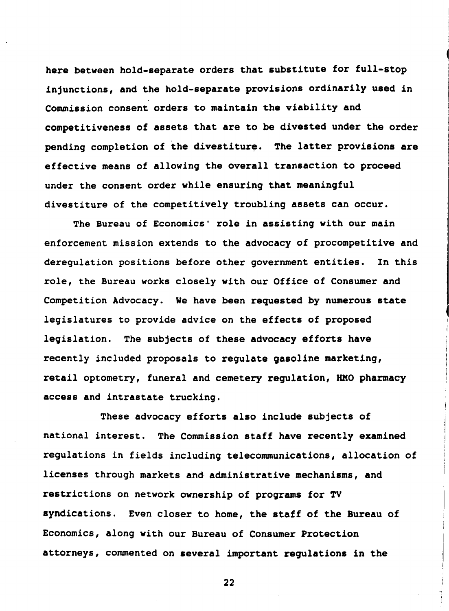here between hold-separate orders that substitute for full-stop injunctions, and the hold-separate provisions ordinarily used in Commission consent orders to maintain the viability and competitiveness of assets that are to be divested under the order pending completion of the divestiture. The latter provisions are effective means of allowing the overall transaction to proceed under the consent order while ensuring that meaningful divestiture of the competitively troubling assets can occur.

The Bureau of Economics' role in assisting with our main enforcement mission extends to the advocacy of procompetitive and derequlation positions before other government entities. In this role, the Bureau works closely with our Office of Consumer and Competition Advocacy. We have been requested by numerous state legislatures to provide advice on the effects of proposed legislation. The subjects of these advocacy efforts have recently included proposals to regulate gasoline marketing, retail optometry, funeral and cemetery regulation, HMO pharmacy access and intrastate trucking.

These advocacy efforts also include subjects of national interest. The Commission staff have recently examined regulations in fields including telecommunications, allocation of licenses through markets and administrative mechanisms, and restrictions on network ownership of programs for TV syndications. Even closer to home, the staff of the Bureau of Economics, along with our Bureau of Consumer Protection attorneys, commented on several important requlations in the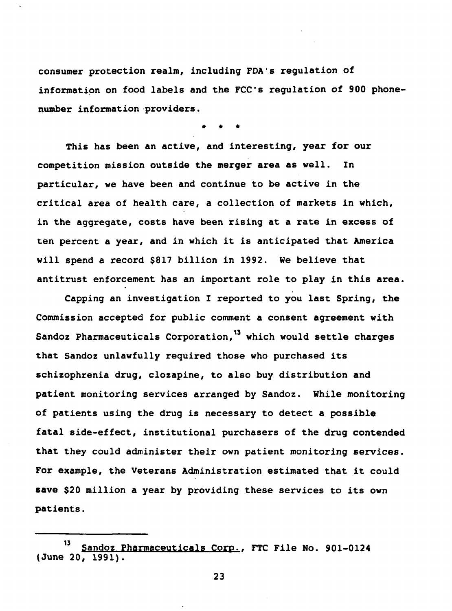consumer protection realm, including FDA's requlation of information on food labels and the FCC's requlation of 900 phonenumber information providers.

This has been an active, and interesting, year for our competition mission outside the merger area as well. In particular, we have been and continue to be active in the critical area of health care, a collection of markets in which, in the aggregate, costs have been rising at a rate in excess of ten percent a year, and in which it is anticipated that America will spend a record \$817 billion in 1992. We believe that antitrust enforcement has an important role to play in this area.

Capping an investigation I reported to you last Spring, the Commission accepted for public comment a consent agreement with Sandoz Pharmaceuticals Corporation,<sup>13</sup> which would settle charges that Sandoz unlawfully required those who purchased its schizophrenia drug, clozapine, to also buy distribution and patient monitoring services arranged by Sandoz. While monitoring of patients using the drug is necessary to detect a possible fatal side-effect, institutional purchasers of the drug contended that they could administer their own patient monitoring services. For example, the Veterans Administration estimated that it could save \$20 million a year by providing these services to its own patients.

<sup>13</sup> Sandoz Pharmaceuticals Corp., FTC File No. 901-0124  $(June 20, 1991).$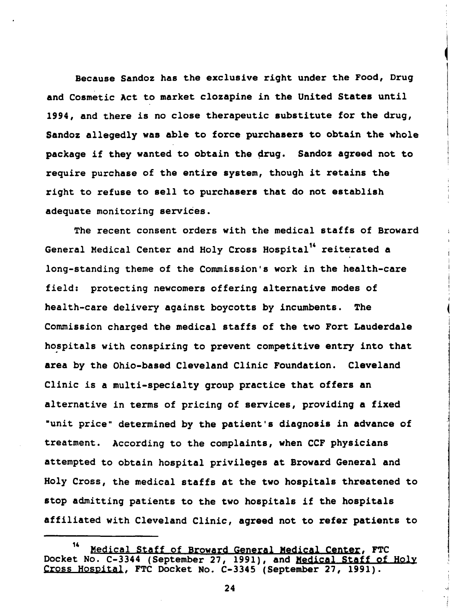Because Sandoz has the exclusive right under the Food, Drug and Cosmetic Act to market clozapine in the United States until 1994, and there is no close therapeutic substitute for the drug, Sandoz allegedly was able to force purchasers to obtain the whole package if they wanted to obtain the drug. Sandoz agreed not to require purchase of the entire system, though it retains the right to refuse to sell to purchasers that do not establish adequate monitoring services.

The recent consent orders with the medical staffs of Broward General Medical Center and Holy Cross Hospital<sup>14</sup> reiterated a long-standing theme of the Commission's work in the health-care field: protecting newcomers offering alternative modes of health-care delivery against boycotts by incumbents. **The** Commission charged the medical staffs of the two Fort Lauderdale hospitals with conspiring to prevent competitive entry into that area by the Ohio-based Cleveland Clinic Foundation. Cleveland Clinic is a multi-specialty group practice that offers an alternative in terms of pricing of services, providing a fixed "unit price" determined by the patient's diagnosis in advance of treatment. According to the complaints, when CCF physicians attempted to obtain hospital privileges at Broward General and Holy Cross, the medical staffs at the two hospitals threatened to stop admitting patients to the two hospitals if the hospitals affiliated with Cleveland Clinic, agreed not to refer patients to

<sup>&</sup>lt;sup>14</sup> Medical Staff of Broward General Medical Center, FTC<br>Docket No. C-3344 (September 27, 1991), and Medical Staff of Holy 14 Cross Hospital, FTC Docket No. C-3345 (September 27, 1991).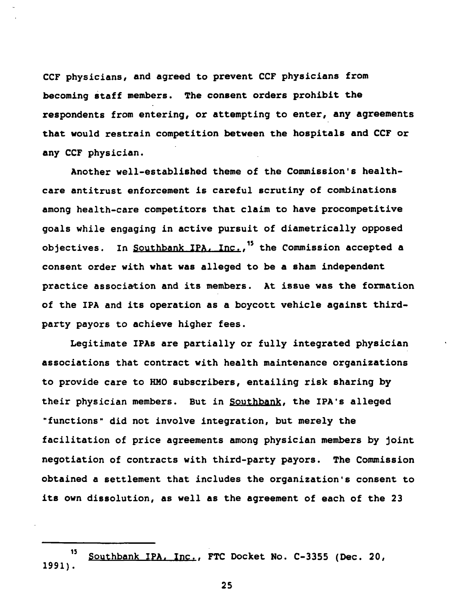CCF physicians, and agreed to prevent CCF physicians from becoming staff members. The consent orders prohibit the respondents from entering, or attempting to enter, any agreements that would restrain competition between the hospitals and CCF or any CCF physician.

Another well-established theme of the Commission's healthcare antitrust enforcement is careful scrutiny of combinations among health-care competitors that claim to have procompetitive goals while engaging in active pursuit of diametrically opposed objectives. In Southbank IPA, Inc.,<sup>15</sup> the Commission accepted a consent order with what was alleged to be a sham independent practice association and its members. At issue was the formation of the IPA and its operation as a boycott vehicle against thirdparty payors to achieve higher fees.

Legitimate IPAs are partially or fully integrated physician associations that contract with health maintenance organizations to provide care to HMO subscribers, entailing risk sharing by their physician members. But in Southbank, the IPA's alleged "functions" did not involve integration, but merely the facilitation of price agreements among physician members by joint negotiation of contracts with third-party payors. The Commission obtained a settlement that includes the organization's consent to its own dissolution, as well as the agreement of each of the 23

<sup>15</sup> Southbank IPA, Inc., FTC Docket No. C-3355 (Dec. 20,  $1991$ .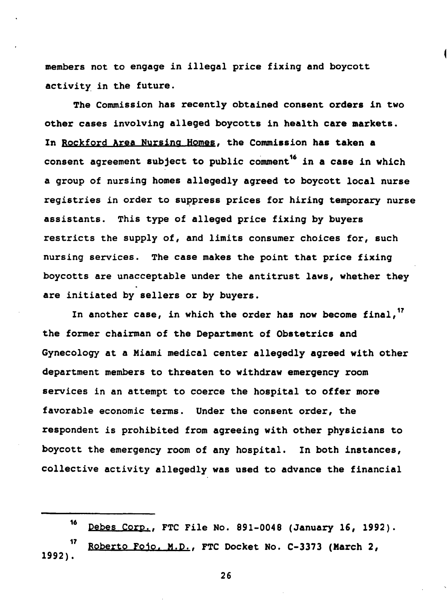members not to engage in illegal price fixing and boycott activity in the future.

The Commission has recently obtained consent orders in two other cases involving alleged boycotts in health care markets. In Rockford Area Nursing Homes, the Commission has taken a consent agreement subject to public comment<sup>16</sup> in a case in which a group of nursing homes allegedly agreed to boycott local nurse registries in order to suppress prices for hiring temporary nurse assistants. This type of alleged price fixing by buyers restricts the supply of, and limits consumer choices for, such nursing services. The case makes the point that price fixing boycotts are unacceptable under the antitrust laws, whether they are initiated by sellers or by buyers.

In another case, in which the order has now become final,<sup>17</sup> the former chairman of the Department of Obstetrics and Gynecology at a Miami medical center allegedly agreed with other department members to threaten to withdraw emergency room services in an attempt to coerce the hospital to offer more favorable economic terms. Under the consent order, the respondent is prohibited from agreeing with other physicians to boycott the emergency room of any hospital. In both instances, collective activity allegedly was used to advance the financial

16 Debes Corp., FTC File No. 891-0048 (January 16, 1992).

17 Roberto Foio, M.D., FTC Docket No. C-3373 (March 2,  $1992$ .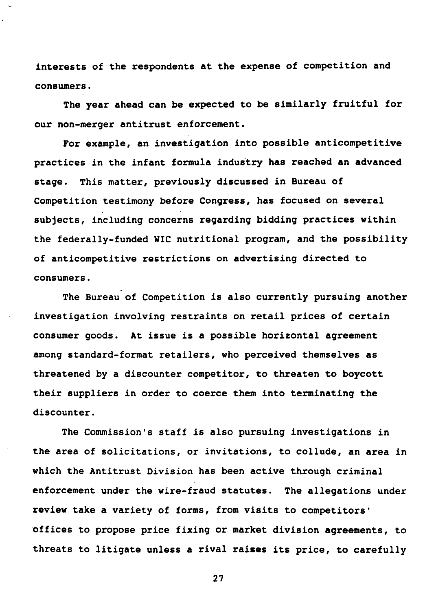interests of the respondents at the expense of competition and consumers.

The year ahead can be expected to be similarly fruitful for our non-merger antitrust enforcement.

For example, an investigation into possible anticompetitive practices in the infant formula industry has reached an advanced stage. This matter, previously discussed in Bureau of Competition testimony before Congress, has focused on several subjects, including concerns regarding bidding practices within the federally-funded WIC nutritional program, and the possibility of anticompetitive restrictions on advertising directed to consumers.

The Bureau of Competition is also currently pursuing another investigation involving restraints on retail prices of certain consumer goods. At issue is a possible horizontal agreement among standard-format retailers, who perceived themselves as threatened by a discounter competitor, to threaten to boycott their suppliers in order to coerce them into terminating the discounter.

The Commission's staff is also pursuing investigations in the area of solicitations, or invitations, to collude, an area in which the Antitrust Division has been active through criminal enforcement under the wire-fraud statutes. The allegations under review take a variety of forms, from visits to competitors' offices to propose price fixing or market division agreements, to threats to litigate unless a rival raises its price, to carefully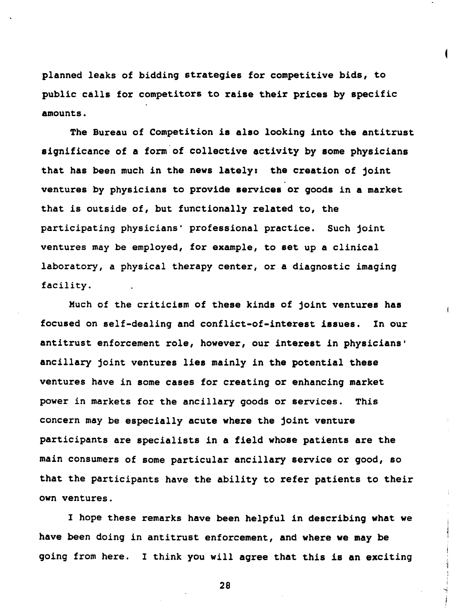planned leaks of bidding strategies for competitive bids, to public calls for competitors to raise their prices by specific amounts.

The Bureau of Competition is also looking into the antitrust significance of a form of collective activity by some physicians that has been much in the news lately: the creation of joint ventures by physicians to provide services or goods in a market that is outside of, but functionally related to, the participating physicians' professional practice. Such joint ventures may be employed, for example, to set up a clinical laboratory, a physical therapy center, or a diagnostic imaging facility.

Much of the criticism of these kinds of joint ventures has focused on self-dealing and conflict-of-interest issues. In our antitrust enforcement role, however, our interest in physicians' ancillary joint ventures lies mainly in the potential these ventures have in some cases for creating or enhancing market power in markets for the ancillary goods or services. This concern may be especially acute where the joint venture participants are specialists in a field whose patients are the main consumers of some particular ancillary service or good, so that the participants have the ability to refer patients to their own ventures.

I hope these remarks have been helpful in describing what we have been doing in antitrust enforcement, and where we may be going from here. I think you will agree that this is an exciting